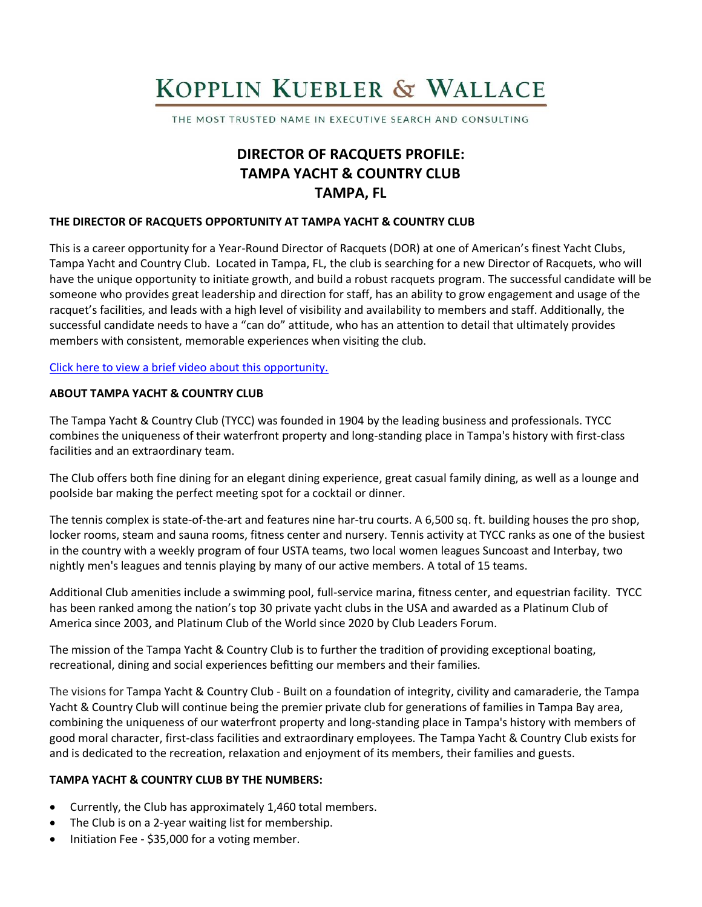# KOPPLIN KUEBLER & WALLACE

THE MOST TRUSTED NAME IN EXECUTIVE SEARCH AND CONSULTING

# **DIRECTOR OF RACQUETS PROFILE: TAMPA YACHT & COUNTRY CLUB TAMPA, FL**

#### **THE DIRECTOR OF RACQUETS OPPORTUNITY AT TAMPA YACHT & COUNTRY CLUB**

This is a career opportunity for a Year-Round Director of Racquets (DOR) at one of American's finest Yacht Clubs, Tampa Yacht and Country Club. Located in Tampa, FL, the club is searching for a new Director of Racquets, who will have the unique opportunity to initiate growth, and build a robust racquets program. The successful candidate will be someone who provides great leadership and direction for staff, has an ability to grow engagement and usage of the racquet's facilities, and leads with a high level of visibility and availability to members and staff. Additionally, the successful candidate needs to have a "can do" attitude, who has an attention to detail that ultimately provides members with consistent, memorable experiences when visiting the club.

#### [Click here to view a brief video about this opportunity.](https://www.youtube.com/watch?v=eXM7JIASwbA)

#### **ABOUT TAMPA YACHT & COUNTRY CLUB**

The Tampa Yacht & Country Club (TYCC) was founded in 1904 by the leading business and professionals. TYCC combines the uniqueness of their waterfront property and long-standing place in Tampa's history with first-class facilities and an extraordinary team.

The Club offers both fine dining for an elegant dining experience, great casual family dining, as well as a lounge and poolside bar making the perfect meeting spot for a cocktail or dinner.

The tennis complex is state-of-the-art and features nine har-tru courts. A 6,500 sq. ft. building houses the pro shop, locker rooms, steam and sauna rooms, fitness center and nursery. Tennis activity at TYCC ranks as one of the busiest in the country with a weekly program of four USTA teams, two local women leagues Suncoast and Interbay, two nightly men's leagues and tennis playing by many of our active members. A total of 15 teams.

Additional Club amenities include a swimming pool, full-service marina, fitness center, and equestrian facility. TYCC has been ranked among the nation's top 30 private yacht clubs in the USA and awarded as a Platinum Club of America since 2003, and Platinum Club of the World since 2020 by Club Leaders Forum.

The mission of the Tampa Yacht & Country Club is to further the tradition of providing exceptional boating, recreational, dining and social experiences befitting our members and their families.

The visions for Tampa Yacht & Country Club - Built on a foundation of integrity, civility and camaraderie, the Tampa Yacht & Country Club will continue being the premier private club for generations of families in Tampa Bay area, combining the uniqueness of our waterfront property and long-standing place in Tampa's history with members of good moral character, first-class facilities and extraordinary employees. The Tampa Yacht & Country Club exists for and is dedicated to the recreation, relaxation and enjoyment of its members, their families and guests.

#### **TAMPA YACHT & COUNTRY CLUB BY THE NUMBERS:**

- Currently, the Club has approximately 1,460 total members.
- The Club is on a 2-year waiting list for membership.
- Initiation Fee \$35,000 for a voting member.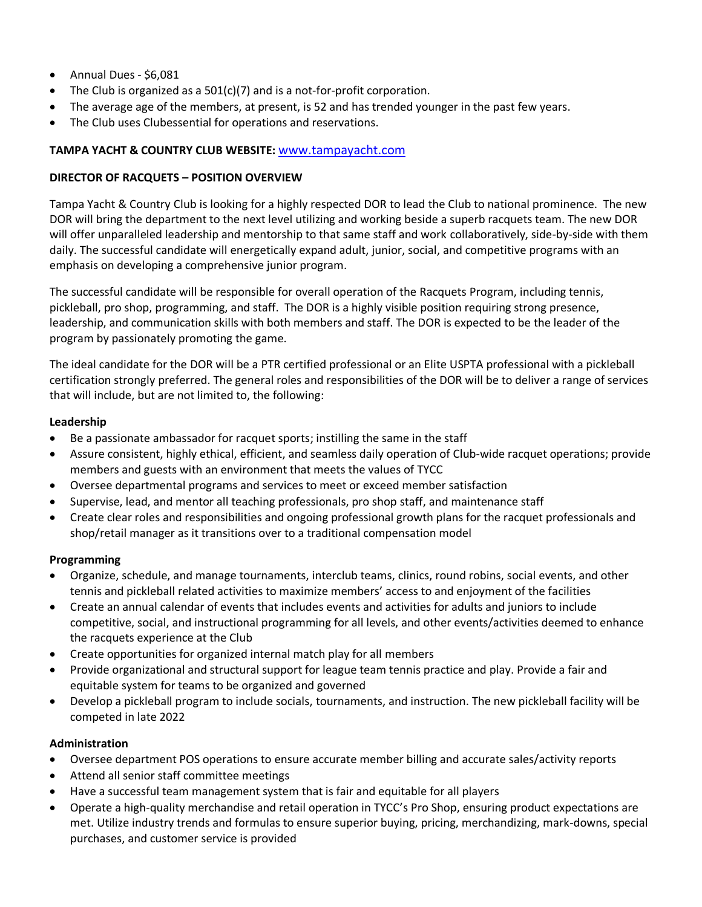- Annual Dues \$6,081
- The Club is organized as a 501(c)(7) and is a not-for-profit corporation.
- The average age of the members, at present, is 52 and has trended younger in the past few years.
- The Club uses Clubessential for operations and reservations.

# **TAMPA YACHT & COUNTRY CLUB WEBSITE:** [www.tampayacht.com](http://www.tampayacht.com/)

# **DIRECTOR OF RACQUETS – POSITION OVERVIEW**

Tampa Yacht & Country Club is looking for a highly respected DOR to lead the Club to national prominence. The new DOR will bring the department to the next level utilizing and working beside a superb racquets team. The new DOR will offer unparalleled leadership and mentorship to that same staff and work collaboratively, side-by-side with them daily. The successful candidate will energetically expand adult, junior, social, and competitive programs with an emphasis on developing a comprehensive junior program.

The successful candidate will be responsible for overall operation of the Racquets Program, including tennis, pickleball, pro shop, programming, and staff. The DOR is a highly visible position requiring strong presence, leadership, and communication skills with both members and staff. The DOR is expected to be the leader of the program by passionately promoting the game.

The ideal candidate for the DOR will be a PTR certified professional or an Elite USPTA professional with a pickleball certification strongly preferred. The general roles and responsibilities of the DOR will be to deliver a range of services that will include, but are not limited to, the following:

# **Leadership**

- Be a passionate ambassador for racquet sports; instilling the same in the staff
- Assure consistent, highly ethical, efficient, and seamless daily operation of Club-wide racquet operations; provide members and guests with an environment that meets the values of TYCC
- Oversee departmental programs and services to meet or exceed member satisfaction
- Supervise, lead, and mentor all teaching professionals, pro shop staff, and maintenance staff
- Create clear roles and responsibilities and ongoing professional growth plans for the racquet professionals and shop/retail manager as it transitions over to a traditional compensation model

#### **Programming**

- Organize, schedule, and manage tournaments, interclub teams, clinics, round robins, social events, and other tennis and pickleball related activities to maximize members' access to and enjoyment of the facilities
- Create an annual calendar of events that includes events and activities for adults and juniors to include competitive, social, and instructional programming for all levels, and other events/activities deemed to enhance the racquets experience at the Club
- Create opportunities for organized internal match play for all members
- Provide organizational and structural support for league team tennis practice and play. Provide a fair and equitable system for teams to be organized and governed
- Develop a pickleball program to include socials, tournaments, and instruction. The new pickleball facility will be competed in late 2022

# **Administration**

- Oversee department POS operations to ensure accurate member billing and accurate sales/activity reports
- Attend all senior staff committee meetings
- Have a successful team management system that is fair and equitable for all players
- Operate a high-quality merchandise and retail operation in TYCC's Pro Shop, ensuring product expectations are met. Utilize industry trends and formulas to ensure superior buying, pricing, merchandizing, mark-downs, special purchases, and customer service is provided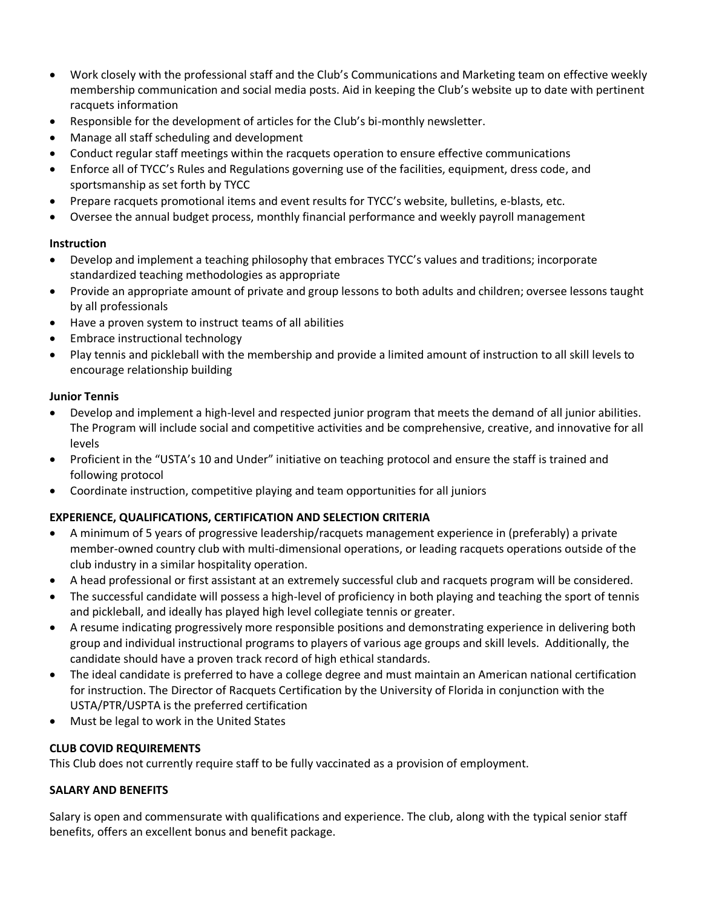- Work closely with the professional staff and the Club's Communications and Marketing team on effective weekly membership communication and social media posts. Aid in keeping the Club's website up to date with pertinent racquets information
- Responsible for the development of articles for the Club's bi-monthly newsletter.
- Manage all staff scheduling and development
- Conduct regular staff meetings within the racquets operation to ensure effective communications
- Enforce all of TYCC's Rules and Regulations governing use of the facilities, equipment, dress code, and sportsmanship as set forth by TYCC
- Prepare racquets promotional items and event results for TYCC's website, bulletins, e-blasts, etc.
- Oversee the annual budget process, monthly financial performance and weekly payroll management

# **Instruction**

- Develop and implement a teaching philosophy that embraces TYCC's values and traditions; incorporate standardized teaching methodologies as appropriate
- Provide an appropriate amount of private and group lessons to both adults and children; oversee lessons taught by all professionals
- Have a proven system to instruct teams of all abilities
- Embrace instructional technology
- Play tennis and pickleball with the membership and provide a limited amount of instruction to all skill levels to encourage relationship building

# **Junior Tennis**

- Develop and implement a high-level and respected junior program that meets the demand of all junior abilities. The Program will include social and competitive activities and be comprehensive, creative, and innovative for all levels
- Proficient in the "USTA's 10 and Under" initiative on teaching protocol and ensure the staff is trained and following protocol
- Coordinate instruction, competitive playing and team opportunities for all juniors

# **EXPERIENCE, QUALIFICATIONS, CERTIFICATION AND SELECTION CRITERIA**

- A minimum of 5 years of progressive leadership/racquets management experience in (preferably) a private member-owned country club with multi-dimensional operations, or leading racquets operations outside of the club industry in a similar hospitality operation.
- A head professional or first assistant at an extremely successful club and racquets program will be considered.
- The successful candidate will possess a high-level of proficiency in both playing and teaching the sport of tennis and pickleball, and ideally has played high level collegiate tennis or greater.
- A resume indicating progressively more responsible positions and demonstrating experience in delivering both group and individual instructional programs to players of various age groups and skill levels. Additionally, the candidate should have a proven track record of high ethical standards.
- The ideal candidate is preferred to have a college degree and must maintain an American national certification for instruction. The Director of Racquets Certification by the University of Florida in conjunction with the USTA/PTR/USPTA is the preferred certification
- Must be legal to work in the United States

# **CLUB COVID REQUIREMENTS**

This Club does not currently require staff to be fully vaccinated as a provision of employment.

#### **SALARY AND BENEFITS**

Salary is open and commensurate with qualifications and experience. The club, along with the typical senior staff benefits, offers an excellent bonus and benefit package.